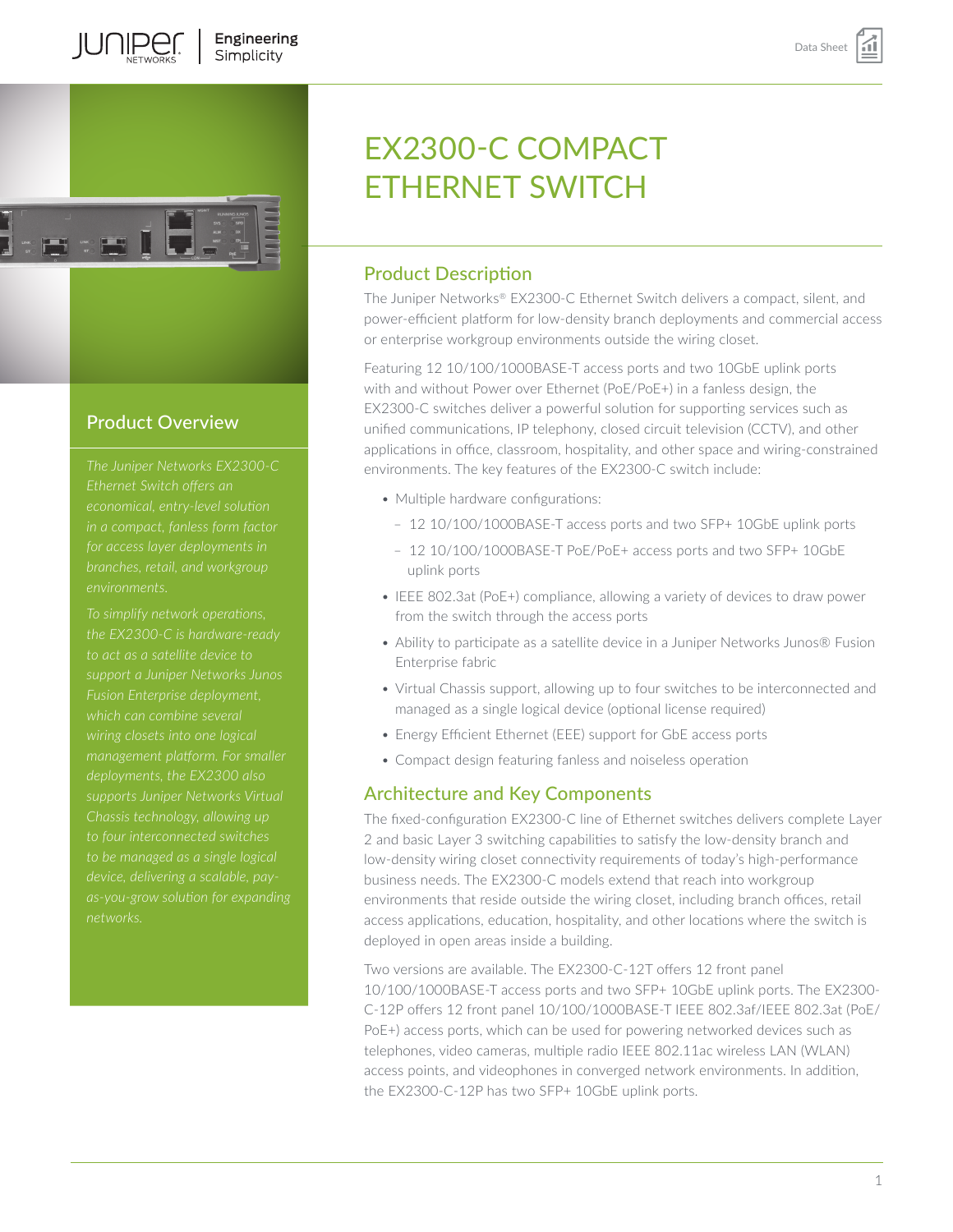

**IUNIPEC** 

# Product Overview

*The Juniper Networks EX2300-C environments.*

*To simplify network operations, to act as a satellite device to support a Juniper Networks Junos deployments, the EX2300 also supports Juniper Networks Virtual Chassis technology, allowing up device, delivering a scalable, pay-*

# EX2300-C COMPACT ETHERNET SWITCH

# Product Description

The Juniper Networks® EX2300-C Ethernet Switch delivers a compact, silent, and power-efficient platform for low-density branch deployments and commercial access or enterprise workgroup environments outside the wiring closet.

Featuring 12 10/100/1000BASE-T access ports and two 10GbE uplink ports with and without Power over Ethernet (PoE/PoE+) in a fanless design, the EX2300-C switches deliver a powerful solution for supporting services such as unified communications, IP telephony, closed circuit television (CCTV), and other applications in office, classroom, hospitality, and other space and wiring-constrained environments. The key features of the EX2300-C switch include:

- Multiple hardware configurations:
	- 12 10/100/1000BASE-T access ports and two SFP+ 10GbE uplink ports
	- 12 10/100/1000BASE-T PoE/PoE+ access ports and two SFP+ 10GbE uplink ports
- IEEE 802.3at (PoE+) compliance, allowing a variety of devices to draw power from the switch through the access ports
- Ability to participate as a satellite device in a Juniper Networks Junos® Fusion Enterprise fabric
- Virtual Chassis support, allowing up to four switches to be interconnected and managed as a single logical device (optional license required)
- Energy Efficient Ethernet (EEE) support for GbE access ports
- Compact design featuring fanless and noiseless operation

# Architecture and Key Components

The fixed-configuration EX2300-C line of Ethernet switches delivers complete Layer 2 and basic Layer 3 switching capabilities to satisfy the low-density branch and low-density wiring closet connectivity requirements of today's high-performance business needs. The EX2300-C models extend that reach into workgroup environments that reside outside the wiring closet, including branch offices, retail access applications, education, hospitality, and other locations where the switch is deployed in open areas inside a building.

Two versions are available. The EX2300-C-12T offers 12 front panel 10/100/1000BASE-T access ports and two SFP+ 10GbE uplink ports. The EX2300- C-12P offers 12 front panel 10/100/1000BASE-T IEEE 802.3af/IEEE 802.3at (PoE/ PoE+) access ports, which can be used for powering networked devices such as telephones, video cameras, multiple radio IEEE 802.11ac wireless LAN (WLAN) access points, and videophones in converged network environments. In addition, the EX2300-C-12P has two SFP+ 10GbE uplink ports.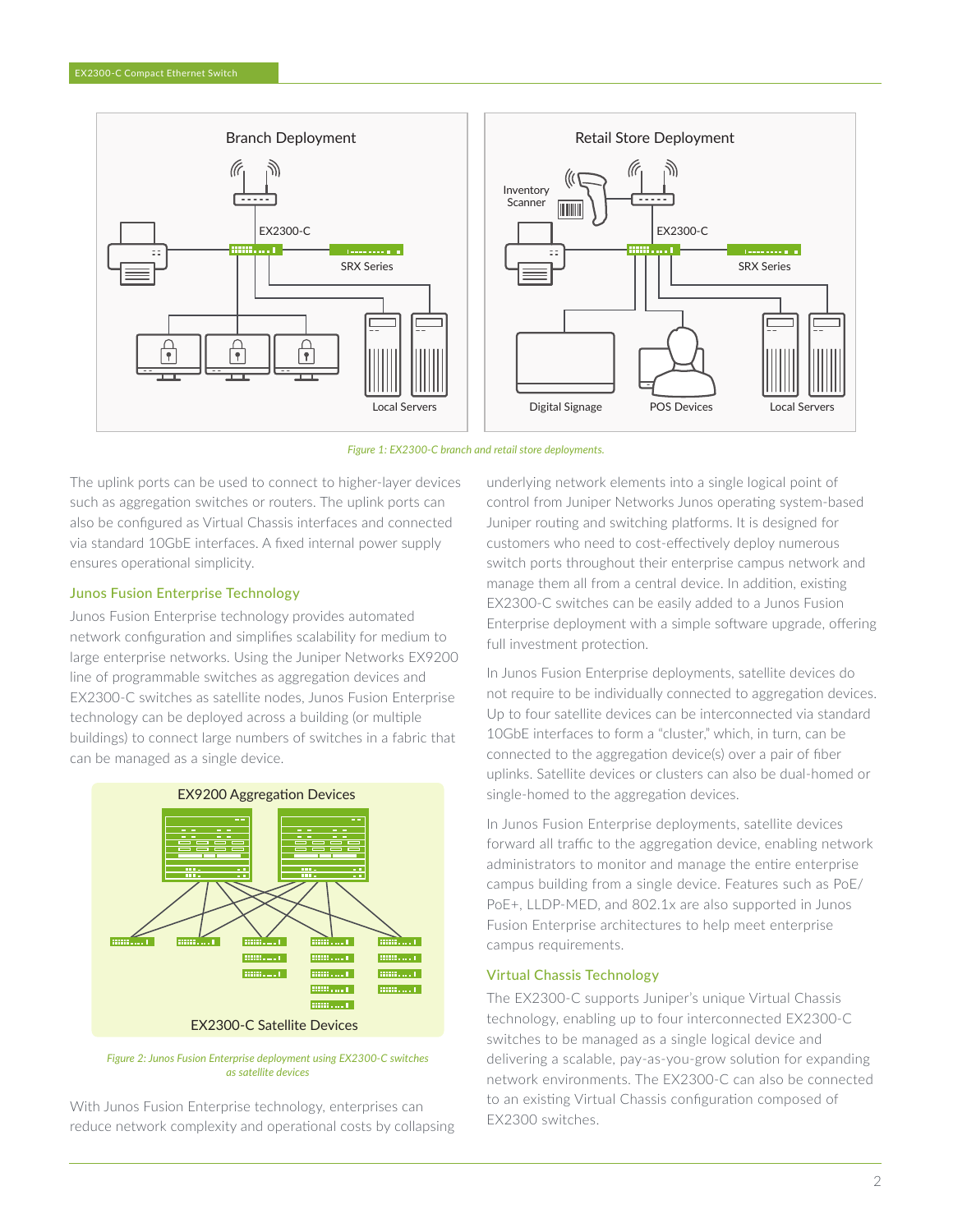



The uplink ports can be used to connect to higher-layer devices such as aggregation switches or routers. The uplink ports can also be configured as Virtual Chassis interfaces and connected via standard 10GbE interfaces. A fixed internal power supply ensures operational simplicity.

#### Junos Fusion Enterprise Technology

Junos Fusion Enterprise technology provides automated network configuration and simplifies scalability for medium to large enterprise networks. Using the Juniper Networks EX9200 line of programmable switches as aggregation devices and EX2300-C switches as satellite nodes, Junos Fusion Enterprise technology can be deployed across a building (or multiple buildings) to connect large numbers of switches in a fabric that can be managed as a single device.



*Figure 2: Junos Fusion Enterprise deployment using EX2300-C switches as satellite devices*

With Junos Fusion Enterprise technology, enterprises can reduce network complexity and operational costs by collapsing underlying network elements into a single logical point of control from Juniper Networks Junos operating system-based Juniper routing and switching platforms. It is designed for customers who need to cost-effectively deploy numerous switch ports throughout their enterprise campus network and manage them all from a central device. In addition, existing EX2300-C switches can be easily added to a Junos Fusion Enterprise deployment with a simple software upgrade, offering full investment protection.

In Junos Fusion Enterprise deployments, satellite devices do not require to be individually connected to aggregation devices. Up to four satellite devices can be interconnected via standard 10GbE interfaces to form a "cluster," which, in turn, can be connected to the aggregation device(s) over a pair of fiber uplinks. Satellite devices or clusters can also be dual-homed or single-homed to the aggregation devices.

In Junos Fusion Enterprise deployments, satellite devices forward all traffic to the aggregation device, enabling network administrators to monitor and manage the entire enterprise campus building from a single device. Features such as PoE/ PoE+, LLDP-MED, and 802.1x are also supported in Junos Fusion Enterprise architectures to help meet enterprise campus requirements.

### Virtual Chassis Technology

The EX2300-C supports Juniper's unique Virtual Chassis technology, enabling up to four interconnected EX2300-C switches to be managed as a single logical device and delivering a scalable, pay-as-you-grow solution for expanding network environments. The EX2300-C can also be connected to an existing Virtual Chassis configuration composed of EX2300 switches.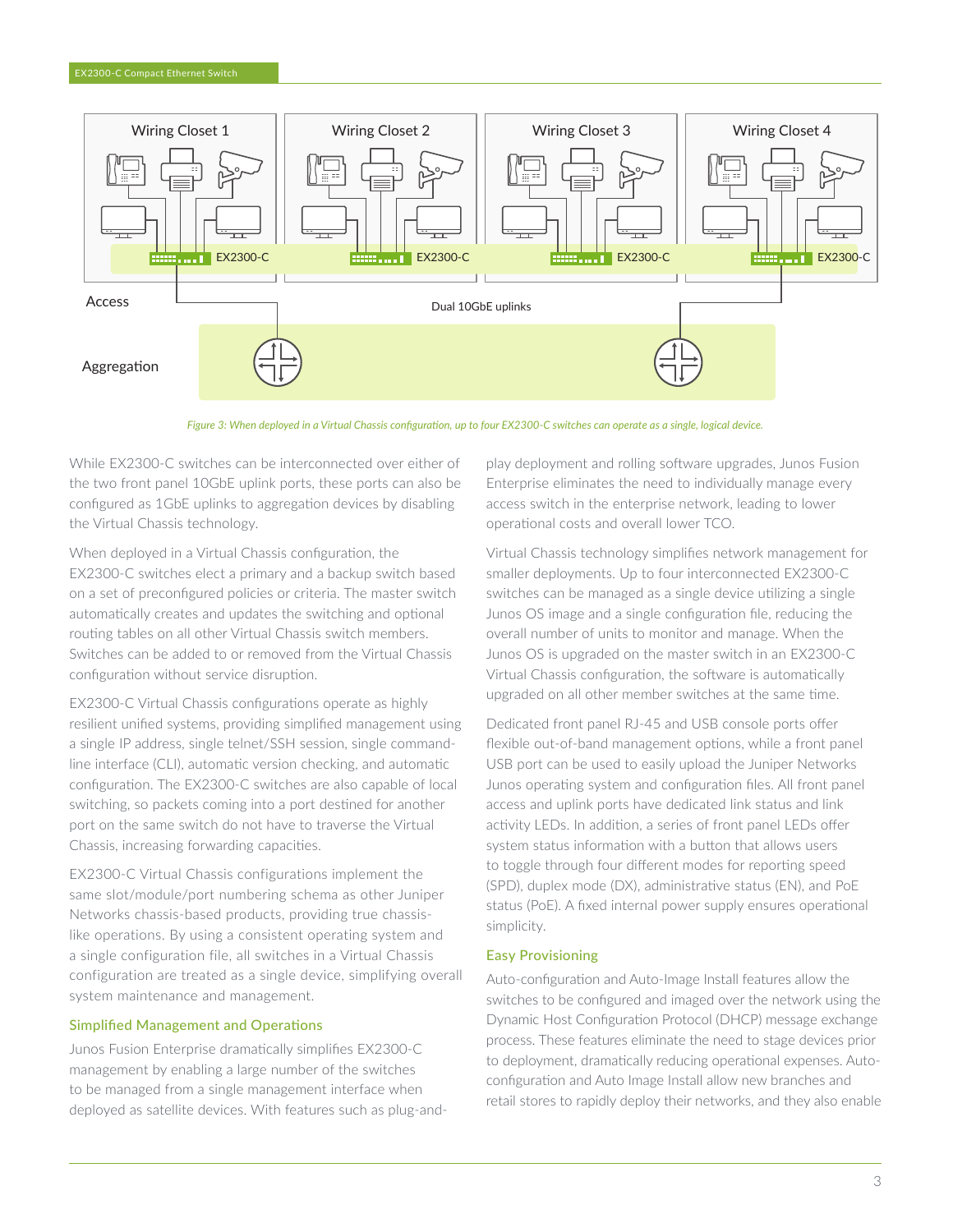

*Figure 3: When deployed in a Virtual Chassis configuration, up to four EX2300-C switches can operate as a single, logical device.*

While EX2300-C switches can be interconnected over either of the two front panel 10GbE uplink ports, these ports can also be configured as 1GbE uplinks to aggregation devices by disabling the Virtual Chassis technology.

When deployed in a Virtual Chassis configuration, the EX2300-C switches elect a primary and a backup switch based on a set of preconfigured policies or criteria. The master switch automatically creates and updates the switching and optional routing tables on all other Virtual Chassis switch members. Switches can be added to or removed from the Virtual Chassis configuration without service disruption.

EX2300-C Virtual Chassis configurations operate as highly resilient unified systems, providing simplified management using a single IP address, single telnet/SSH session, single commandline interface (CLI), automatic version checking, and automatic configuration. The EX2300-C switches are also capable of local switching, so packets coming into a port destined for another port on the same switch do not have to traverse the Virtual Chassis, increasing forwarding capacities.

EX2300-C Virtual Chassis configurations implement the same slot/module/port numbering schema as other Juniper Networks chassis-based products, providing true chassislike operations. By using a consistent operating system and a single configuration file, all switches in a Virtual Chassis configuration are treated as a single device, simplifying overall system maintenance and management.

#### Simplified Management and Operations

Junos Fusion Enterprise dramatically simplifies EX2300-C management by enabling a large number of the switches to be managed from a single management interface when deployed as satellite devices. With features such as plug-andplay deployment and rolling software upgrades, Junos Fusion Enterprise eliminates the need to individually manage every access switch in the enterprise network, leading to lower operational costs and overall lower TCO.

Virtual Chassis technology simplifies network management for smaller deployments. Up to four interconnected EX2300-C switches can be managed as a single device utilizing a single Junos OS image and a single configuration file, reducing the overall number of units to monitor and manage. When the Junos OS is upgraded on the master switch in an EX2300-C Virtual Chassis configuration, the software is automatically upgraded on all other member switches at the same time.

Dedicated front panel RJ-45 and USB console ports offer flexible out-of-band management options, while a front panel USB port can be used to easily upload the Juniper Networks Junos operating system and configuration files. All front panel access and uplink ports have dedicated link status and link activity LEDs. In addition, a series of front panel LEDs offer system status information with a button that allows users to toggle through four different modes for reporting speed (SPD), duplex mode (DX), administrative status (EN), and PoE status (PoE). A fixed internal power supply ensures operational simplicity.

#### Easy Provisioning

Auto-configuration and Auto-Image Install features allow the switches to be configured and imaged over the network using the Dynamic Host Configuration Protocol (DHCP) message exchange process. These features eliminate the need to stage devices prior to deployment, dramatically reducing operational expenses. Autoconfiguration and Auto Image Install allow new branches and retail stores to rapidly deploy their networks, and they also enable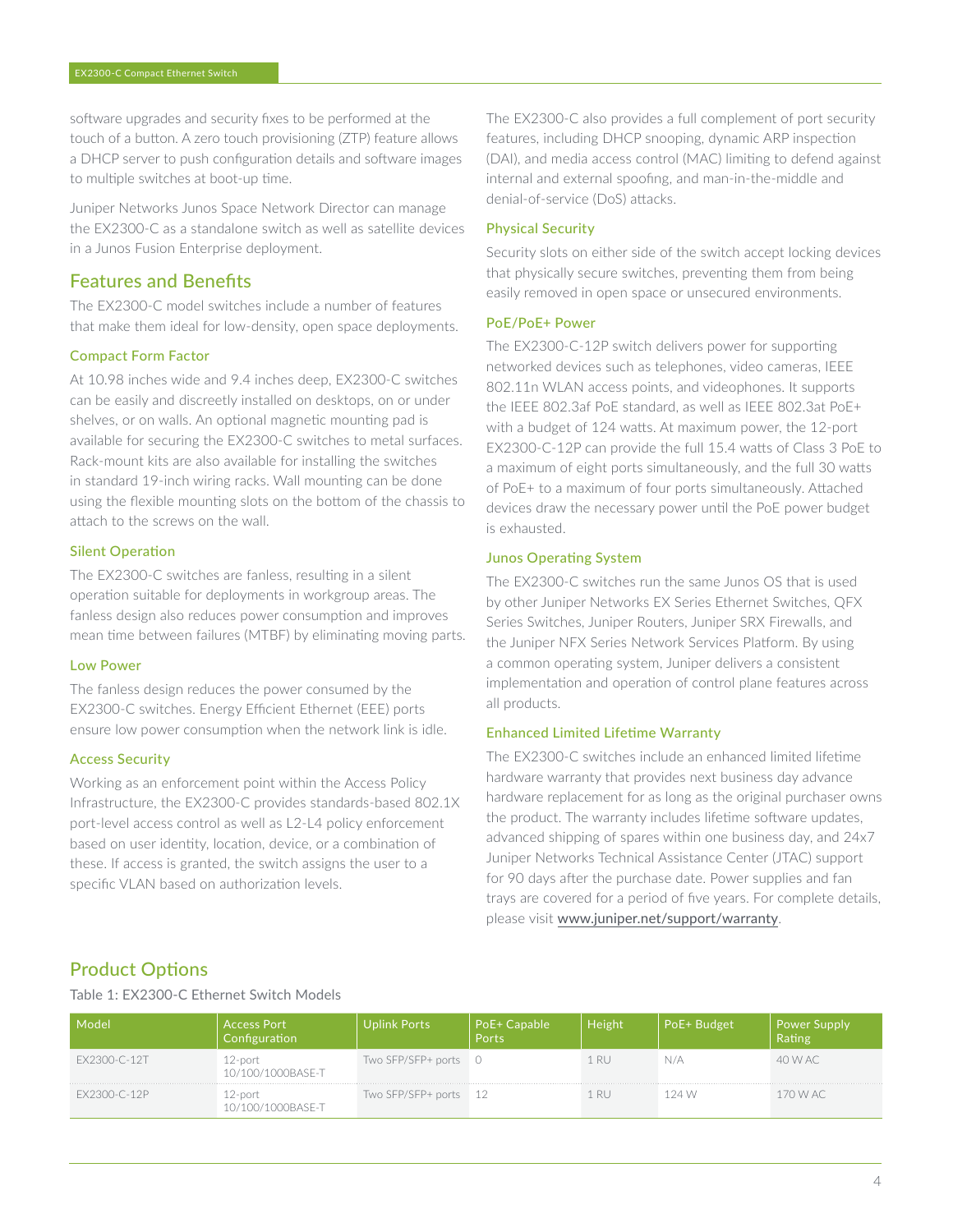software upgrades and security fixes to be performed at the touch of a button. A zero touch provisioning (ZTP) feature allows a DHCP server to push configuration details and software images to multiple switches at boot-up time.

Juniper Networks Junos Space Network Director can manage the EX2300-C as a standalone switch as well as satellite devices in a Junos Fusion Enterprise deployment.

# Features and Benefits

The EX2300-C model switches include a number of features that make them ideal for low-density, open space deployments.

### Compact Form Factor

At 10.98 inches wide and 9.4 inches deep, EX2300-C switches can be easily and discreetly installed on desktops, on or under shelves, or on walls. An optional magnetic mounting pad is available for securing the EX2300-C switches to metal surfaces. Rack-mount kits are also available for installing the switches in standard 19-inch wiring racks. Wall mounting can be done using the flexible mounting slots on the bottom of the chassis to attach to the screws on the wall.

## Silent Operation

The EX2300-C switches are fanless, resulting in a silent operation suitable for deployments in workgroup areas. The fanless design also reduces power consumption and improves mean time between failures (MTBF) by eliminating moving parts.

# Low Power

The fanless design reduces the power consumed by the EX2300-C switches. Energy Efficient Ethernet (EEE) ports ensure low power consumption when the network link is idle.

#### Access Security

Working as an enforcement point within the Access Policy Infrastructure, the EX2300-C provides standards-based 802.1X port-level access control as well as L2-L4 policy enforcement based on user identity, location, device, or a combination of these. If access is granted, the switch assigns the user to a specific VLAN based on authorization levels.

The EX2300-C also provides a full complement of port security features, including DHCP snooping, dynamic ARP inspection (DAI), and media access control (MAC) limiting to defend against internal and external spoofing, and man-in-the-middle and denial-of-service (DoS) attacks.

# Physical Security

Security slots on either side of the switch accept locking devices that physically secure switches, preventing them from being easily removed in open space or unsecured environments.

## PoE/PoE+ Power

The EX2300-C-12P switch delivers power for supporting networked devices such as telephones, video cameras, IEEE 802.11n WLAN access points, and videophones. It supports the IEEE 802.3af PoE standard, as well as IEEE 802.3at PoE+ with a budget of 124 watts. At maximum power, the 12-port EX2300-C-12P can provide the full 15.4 watts of Class 3 PoE to a maximum of eight ports simultaneously, and the full 30 watts of PoE+ to a maximum of four ports simultaneously. Attached devices draw the necessary power until the PoE power budget is exhausted.

## Junos Operating System

The EX2300-C switches run the same Junos OS that is used by other Juniper Networks EX Series Ethernet Switches, QFX Series Switches, Juniper Routers, Juniper SRX Firewalls, and the Juniper NFX Series Network Services Platform. By using a common operating system, Juniper delivers a consistent implementation and operation of control plane features across all products.

#### Enhanced Limited Lifetime Warranty

The EX2300-C switches include an enhanced limited lifetime hardware warranty that provides next business day advance hardware replacement for as long as the original purchaser owns the product. The warranty includes lifetime software updates, advanced shipping of spares within one business day, and 24x7 Juniper Networks Technical Assistance Center (JTAC) support for 90 days after the purchase date. Power supplies and fan trays are covered for a period of five years. For complete details, please visit [www.juniper.net/support/warranty](http://www.juniper.net/support/warranty).

# Product Options

Table 1: EX2300-C Ethernet Switch Models

| Model        | <b>Access Port</b><br>Configuration | Jplink Ports          | PoE+ Capable<br>Ports | Height | PoE+ Budget | <b>Power Supply</b><br>Rating |
|--------------|-------------------------------------|-----------------------|-----------------------|--------|-------------|-------------------------------|
| EX2300-C-12T | 12-port<br>10/100/1000BASE-T        | Two SFP/SFP+ ports 0  |                       |        | N/A         | 40 W AC                       |
| EX2300-C-12P | 12-port<br>10/100/1000BASE-T        | Two SFP/SFP+ ports 12 |                       |        | 124 W       | .70 W AC                      |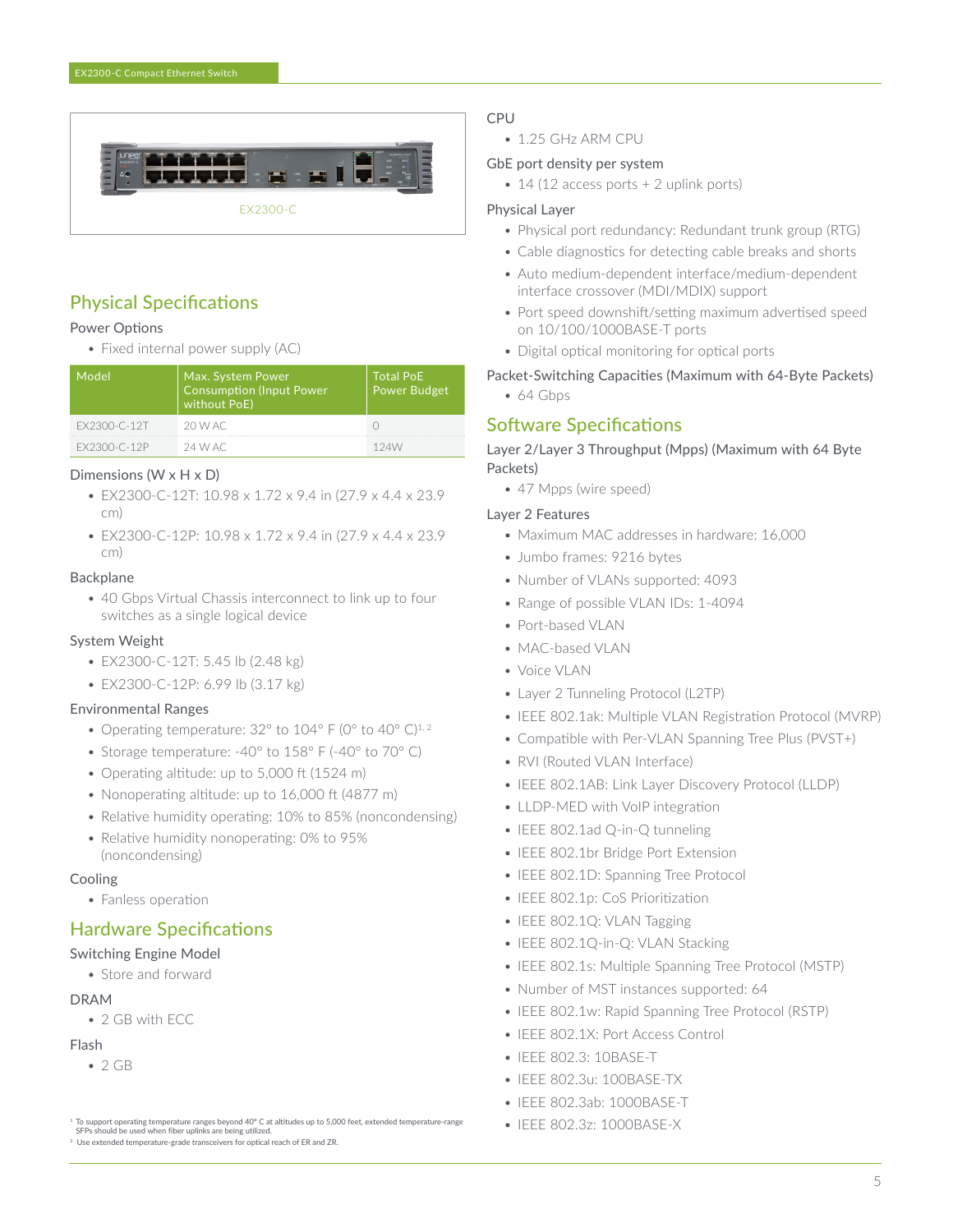

# Physical Specifications

#### Power Options

• Fixed internal power supply (AC)

| Model        | Max. System Power<br><b>Consumption (Input Power</b><br>without PoE) | <b>Total PoE</b><br><b>Power Budget</b> |
|--------------|----------------------------------------------------------------------|-----------------------------------------|
| FX2300-C-12T | 20 W AC                                                              |                                         |
| FX2300-C-12P | 24 W AC                                                              | 124W                                    |

#### Dimensions (W x H x D)

- EX2300-C-12T: 10.98 x 1.72 x 9.4 in (27.9 x 4.4 x 23.9 cm)
- EX2300-C-12P: 10.98 x 1.72 x 9.4 in (27.9 x 4.4 x 23.9 cm)

#### Backplane

• 40 Gbps Virtual Chassis interconnect to link up to four switches as a single logical device

## System Weight

- EX2300-C-12T: 5.45 lb (2.48 kg)
- EX2300-C-12P: 6.99 lb (3.17 kg)

#### Environmental Ranges

- Operating temperature:  $32^{\circ}$  to  $104^{\circ}$  F (0° to  $40^{\circ}$  C)<sup>1,2</sup>
- Storage temperature: -40° to 158° F (-40° to 70° C)
- Operating altitude: up to 5,000 ft (1524 m)
- Nonoperating altitude: up to 16,000 ft (4877 m)
- Relative humidity operating: 10% to 85% (noncondensing)
- Relative humidity nonoperating: 0% to 95% (noncondensing)

#### Cooling

• Fanless operation

# Hardware Specifications

# Switching Engine Model

• Store and forward

#### DRAM

• 2 GB with ECC

## Flash

 $• 2 GB$ 

<sup>2</sup> Use extended temperature-grade transceivers for optical reach of ER and ZR.

# CPU

• 1.25 GHz ARM CPU

### GbE port density per system

• 14 (12 access ports + 2 uplink ports)

## Physical Layer

- Physical port redundancy: Redundant trunk group (RTG)
- Cable diagnostics for detecting cable breaks and shorts
- Auto medium-dependent interface/medium-dependent interface crossover (MDI/MDIX) support
- Port speed downshift/setting maximum advertised speed on 10/100/1000BASE-T ports
- Digital optical monitoring for optical ports

## Packet-Switching Capacities (Maximum with 64-Byte Packets)

• 64 Gbps

# Software Specifications

## Layer 2/Layer 3 Throughput (Mpps) (Maximum with 64 Byte Packets)

• 47 Mpps (wire speed)

#### Layer 2 Features

- Maximum MAC addresses in hardware: 16,000
- Jumbo frames: 9216 bytes
- Number of VLANs supported: 4093
- Range of possible VLAN IDs: 1-4094
- Port-based VLAN
- MAC-based VLAN
- Voice VLAN
- Layer 2 Tunneling Protocol (L2TP)
- IEEE 802.1ak: Multiple VLAN Registration Protocol (MVRP)
- Compatible with Per-VLAN Spanning Tree Plus (PVST+)
- RVI (Routed VLAN Interface)
- IEEE 802.1AB: Link Layer Discovery Protocol (LLDP)
- LLDP-MED with VoIP integration
- IEEE 802.1ad Q-in-Q tunneling
- IEEE 802.1br Bridge Port Extension
- IEEE 802.1D: Spanning Tree Protocol
- IEEE 802.1p: CoS Prioritization
- IEEE 802.1Q: VLAN Tagging
- IEEE 802.1Q-in-Q: VLAN Stacking
- IEEE 802.1s: Multiple Spanning Tree Protocol (MSTP)
- Number of MST instances supported: 64
- IEEE 802.1w: Rapid Spanning Tree Protocol (RSTP)
- IEEE 802.1X: Port Access Control
- IEEE 802.3: 10BASE-T
- IEEE 802.3u: 100BASE-TX
- IEEE 802.3ab: 1000BASE-T
- IEEE 802.3z: 1000BASE-X

<sup>1</sup> To support operating temperature ranges beyond 40° C at altitudes up to 5,000 feet, extended temperature-range SFPs should be used when fiber uplinks are being utilized.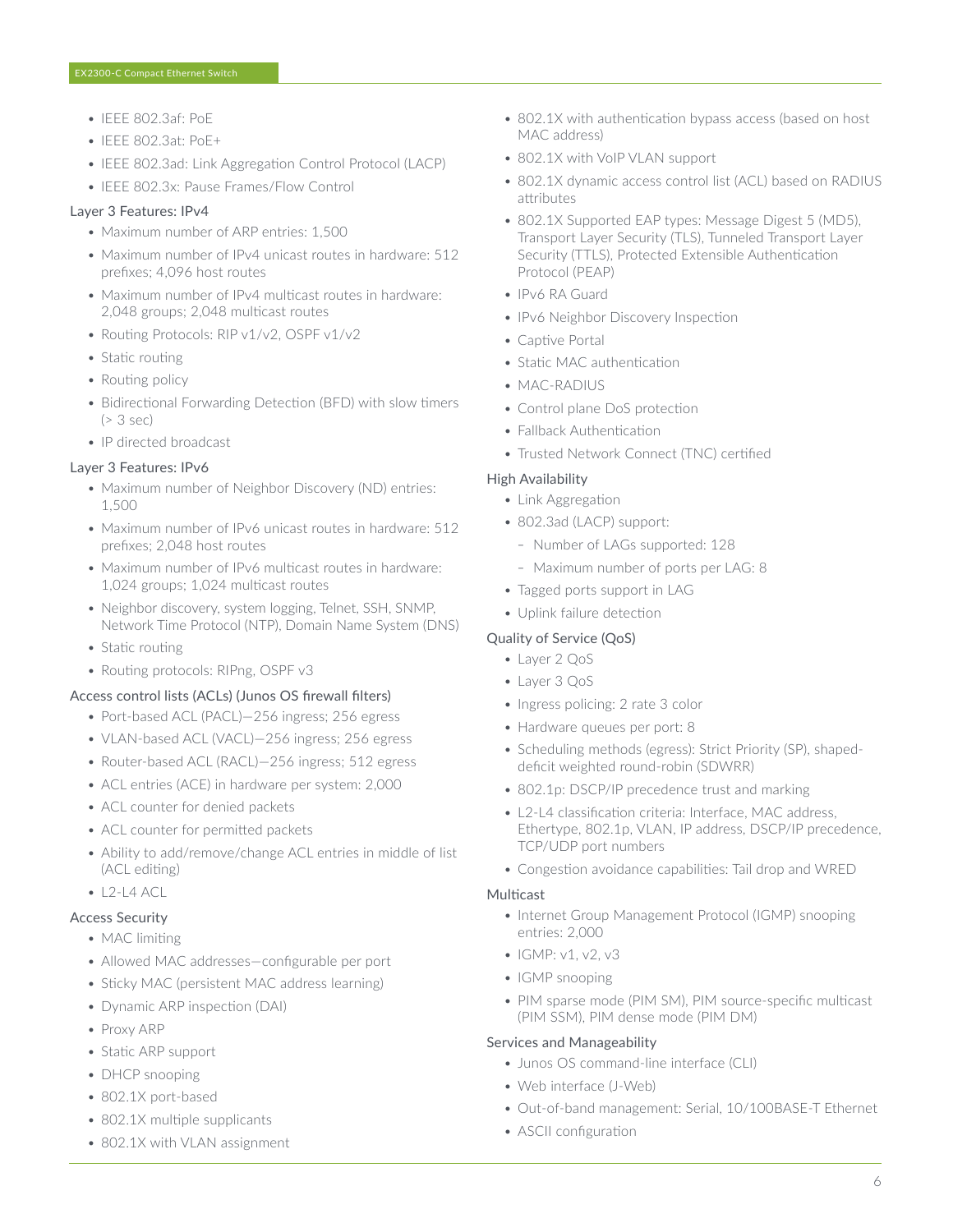- IEEE 802.3af: PoE
- IEEE 802.3at: PoE+
- IEEE 802.3ad: Link Aggregation Control Protocol (LACP)
- IEEE 802.3x: Pause Frames/Flow Control

#### Layer 3 Features: IPv4

- Maximum number of ARP entries: 1,500
- Maximum number of IPv4 unicast routes in hardware: 512 prefixes; 4,096 host routes
- Maximum number of IPv4 multicast routes in hardware: 2,048 groups; 2,048 multicast routes
- Routing Protocols: RIP v1/v2, OSPF v1/v2
- Static routing
- Routing policy
- Bidirectional Forwarding Detection (BFD) with slow timers (> 3 sec)
- IP directed broadcast

#### Layer 3 Features: IPv6

- Maximum number of Neighbor Discovery (ND) entries: 1,500
- Maximum number of IPv6 unicast routes in hardware: 512 prefixes; 2,048 host routes
- Maximum number of IPv6 multicast routes in hardware: 1,024 groups; 1,024 multicast routes
- Neighbor discovery, system logging, Telnet, SSH, SNMP, Network Time Protocol (NTP), Domain Name System (DNS)
- Static routing
- Routing protocols: RIPng, OSPF v3

#### Access control lists (ACLs) (Junos OS firewall filters)

- Port-based ACL (PACL)—256 ingress; 256 egress
- VLAN-based ACL (VACL)—256 ingress; 256 egress
- Router-based ACL (RACL)—256 ingress; 512 egress
- ACL entries (ACE) in hardware per system: 2,000
- ACL counter for denied packets
- ACL counter for permitted packets
- Ability to add/remove/change ACL entries in middle of list (ACL editing)
- $\bullet$  L<sub>2</sub>-L<sub>4</sub> ACL

#### Access Security

- MAC limiting
- Allowed MAC addresses—configurable per port
- Sticky MAC (persistent MAC address learning)
- Dynamic ARP inspection (DAI)
- Proxy ARP
- Static ARP support
- DHCP snooping
- 802.1X port-based
- 802.1X multiple supplicants
- 802.1X with VLAN assignment
- 802.1X with authentication bypass access (based on host MAC address)
- 802.1X with VoIP VLAN support
- 802.1X dynamic access control list (ACL) based on RADIUS attributes
- 802.1X Supported EAP types: Message Digest 5 (MD5), Transport Layer Security (TLS), Tunneled Transport Layer Security (TTLS), Protected Extensible Authentication Protocol (PEAP)
- IPv6 RA Guard
- IPv6 Neighbor Discovery Inspection
- Captive Portal
- Static MAC authentication
- MAC-RADIUS
- Control plane DoS protection
- Fallback Authentication
- Trusted Network Connect (TNC) certified

#### High Availability

- Link Aggregation
- 802.3ad (LACP) support:
	- Number of LAGs supported: 128
	- Maximum number of ports per LAG: 8
- Tagged ports support in LAG
- Uplink failure detection

#### Quality of Service (QoS)

- Layer 2 QoS
- Layer 3 QoS
- Ingress policing: 2 rate 3 color
- Hardware queues per port: 8
- Scheduling methods (egress): Strict Priority (SP), shapeddeficit weighted round-robin (SDWRR)
- 802.1p: DSCP/IP precedence trust and marking
- L2-L4 classification criteria: Interface, MAC address, Ethertype, 802.1p, VLAN, IP address, DSCP/IP precedence, TCP/UDP port numbers
- Congestion avoidance capabilities: Tail drop and WRED

#### **Multicast**

- Internet Group Management Protocol (IGMP) snooping entries: 2,000
- IGMP: v1, v2, v3
- IGMP snooping
- PIM sparse mode (PIM SM), PIM source-specific multicast (PIM SSM), PIM dense mode (PIM DM)

#### Services and Manageability

- Junos OS command-line interface (CLI)
- Web interface (J-Web)
- Out-of-band management: Serial, 10/100BASE-T Ethernet
- ASCII configuration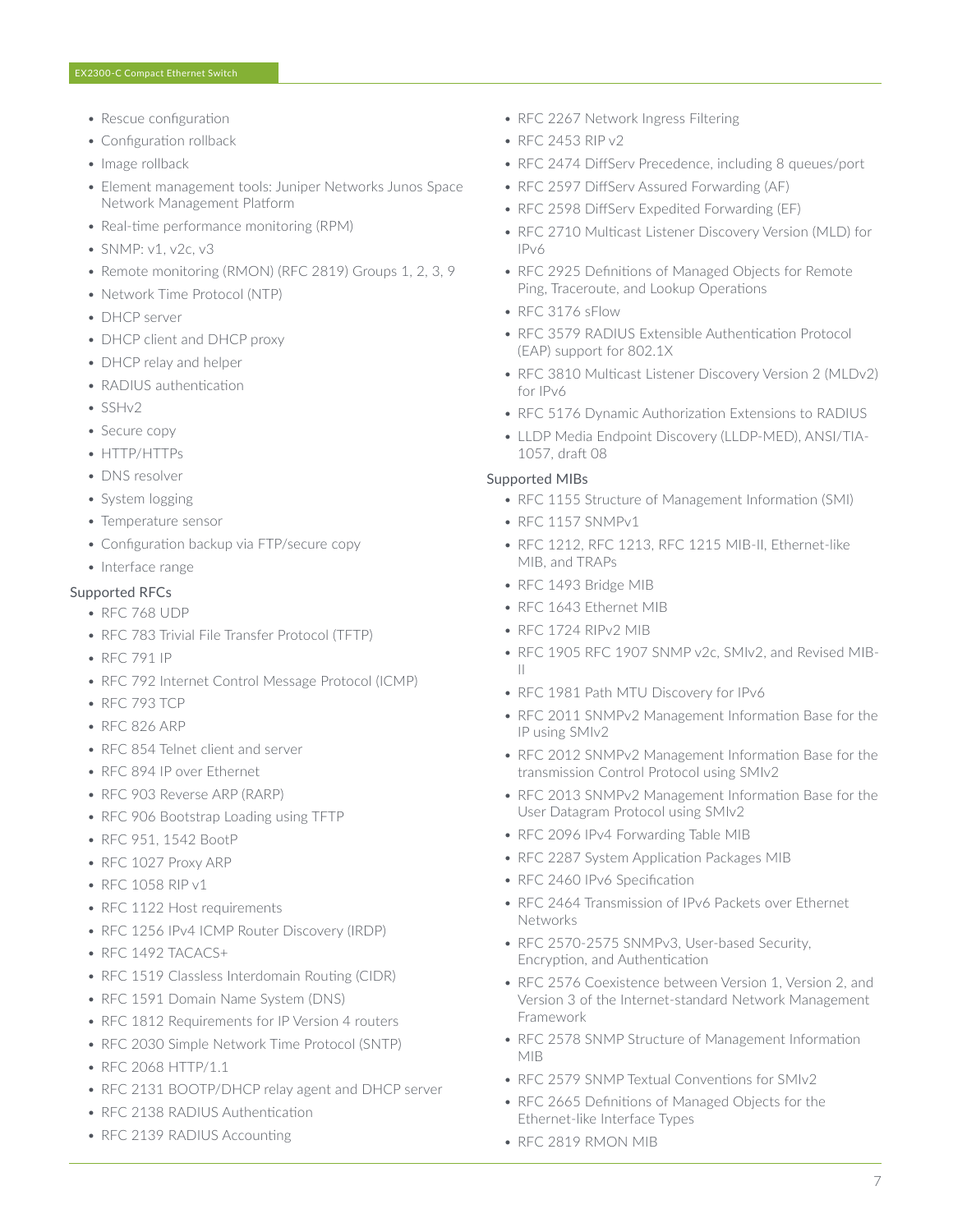- Rescue configuration
- Configuration rollback
- Image rollback
- Element management tools: Juniper Networks Junos Space Network Management Platform
- Real-time performance monitoring (RPM)
- SNMP: v1, v2c, v3
- Remote monitoring (RMON) (RFC 2819) Groups 1, 2, 3, 9
- Network Time Protocol (NTP)
- DHCP server
- DHCP client and DHCP proxy
- DHCP relay and helper
- RADIUS authentication
- SSHv2
- Secure copy
- HTTP/HTTPs
- DNS resolver
- System logging
- Temperature sensor
- Configuration backup via FTP/secure copy
- Interface range

#### Supported RFCs

- RFC 768 UDP
- RFC 783 Trivial File Transfer Protocol (TFTP)
- RFC 791 IP
- RFC 792 Internet Control Message Protocol (ICMP)
- RFC 793 TCP
- RFC 826 ARP
- RFC 854 Telnet client and server
- RFC 894 IP over Ethernet
- RFC 903 Reverse ARP (RARP)
- RFC 906 Bootstrap Loading using TFTP
- RFC 951, 1542 BootP
- RFC 1027 Proxy ARP
- RFC 1058 RIP v1
- RFC 1122 Host requirements
- RFC 1256 IPv4 ICMP Router Discovery (IRDP)
- RFC 1492 TACACS+
- RFC 1519 Classless Interdomain Routing (CIDR)
- RFC 1591 Domain Name System (DNS)
- RFC 1812 Requirements for IP Version 4 routers
- RFC 2030 Simple Network Time Protocol (SNTP)
- RFC 2068 HTTP/1.1
- RFC 2131 BOOTP/DHCP relay agent and DHCP server
- RFC 2138 RADIUS Authentication
- RFC 2139 RADIUS Accounting
- RFC 2267 Network Ingress Filtering
- RFC 2453 RIP v2
- RFC 2474 DiffServ Precedence, including 8 queues/port
- RFC 2597 DiffServ Assured Forwarding (AF)
- RFC 2598 DiffServ Expedited Forwarding (EF)
- RFC 2710 Multicast Listener Discovery Version (MLD) for IPv6
- RFC 2925 Definitions of Managed Objects for Remote Ping, Traceroute, and Lookup Operations
- RFC 3176 sFlow
- RFC 3579 RADIUS Extensible Authentication Protocol (EAP) support for 802.1X
- RFC 3810 Multicast Listener Discovery Version 2 (MLDv2) for IPv6
- RFC 5176 Dynamic Authorization Extensions to RADIUS
- LLDP Media Endpoint Discovery (LLDP-MED), ANSI/TIA-1057, draft 08

#### Supported MIBs

- RFC 1155 Structure of Management Information (SMI)
- RFC 1157 SNMPv1
- RFC 1212, RFC 1213, RFC 1215 MIB-II, Ethernet-like MIB, and TRAPs
- RFC 1493 Bridge MIB
- RFC 1643 Ethernet MIB
- RFC 1724 RIPv2 MIB
- RFC 1905 RFC 1907 SNMP v2c, SMIv2, and Revised MIB-II
- RFC 1981 Path MTU Discovery for IPv6
- RFC 2011 SNMPv2 Management Information Base for the IP using SMIv2
- RFC 2012 SNMPv2 Management Information Base for the transmission Control Protocol using SMIv2
- RFC 2013 SNMPv2 Management Information Base for the User Datagram Protocol using SMIv2
- RFC 2096 IPv4 Forwarding Table MIB
- RFC 2287 System Application Packages MIB
- RFC 2460 IPv6 Specification
- RFC 2464 Transmission of IPv6 Packets over Ethernet **Networks**
- RFC 2570-2575 SNMPv3, User-based Security, Encryption, and Authentication
- RFC 2576 Coexistence between Version 1, Version 2, and Version 3 of the Internet-standard Network Management Framework
- RFC 2578 SNMP Structure of Management Information MIB
- RFC 2579 SNMP Textual Conventions for SMIv2
- RFC 2665 Definitions of Managed Objects for the Ethernet-like Interface Types
- RFC 2819 RMON MIB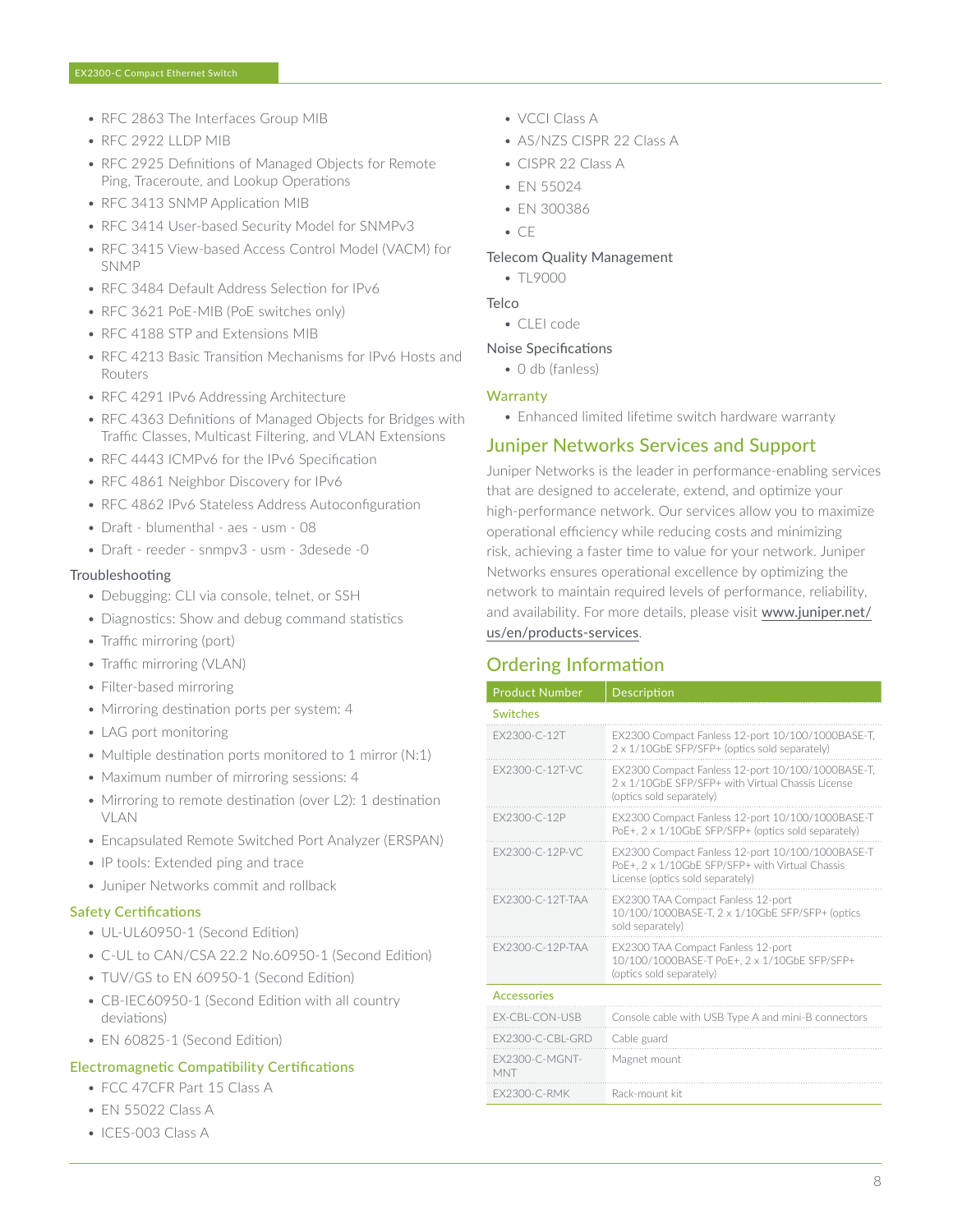- RFC 2863 The Interfaces Group MIB
- RFC 2922 LLDP MIB
- RFC 2925 Definitions of Managed Objects for Remote Ping, Traceroute, and Lookup Operations
- RFC 3413 SNMP Application MIB
- RFC 3414 User-based Security Model for SNMPv3
- RFC 3415 View-based Access Control Model (VACM) for SNMP
- RFC 3484 Default Address Selection for IPv6
- RFC 3621 PoF-MIB (PoF switches only)
- RFC 4188 STP and Extensions MIB
- RFC 4213 Basic Transition Mechanisms for IPv6 Hosts and Routers
- RFC 4291 IPv6 Addressing Architecture
- RFC 4363 Definitions of Managed Objects for Bridges with Traffic Classes, Multicast Filtering, and VLAN Extensions
- RFC 4443 ICMPv6 for the IPv6 Specification
- RFC 4861 Neighbor Discovery for IPv6
- RFC 4862 IPv6 Stateless Address Autoconfiguration
- Draft blumenthal aes usm 08
- Draft reeder snmpv3 usm 3desede -0

#### Troubleshooting

- Debugging: CLI via console, telnet, or SSH
- Diagnostics: Show and debug command statistics
- Traffic mirroring (port)
- Traffic mirroring (VLAN)
- Filter-based mirroring
- Mirroring destination ports per system: 4
- LAG port monitoring
- Multiple destination ports monitored to 1 mirror (N:1)
- Maximum number of mirroring sessions: 4
- Mirroring to remote destination (over L2): 1 destination **VI AN**
- Encapsulated Remote Switched Port Analyzer (ERSPAN)
- IP tools: Extended ping and trace
- Juniper Networks commit and rollback

#### Safety Certifications

- UL-UL60950-1 (Second Edition)
- C-UL to CAN/CSA 22.2 No.60950-1 (Second Edition)
- TUV/GS to EN 60950-1 (Second Edition)
- CB-IEC60950-1 (Second Edition with all country deviations)
- EN 60825-1 (Second Edition)

#### Electromagnetic Compatibility Certifications

- FCC 47CFR Part 15 Class A
- EN 55022 Class A
- ICES-003 Class A
- VCCI Class A
- AS/NZS CISPR 22 Class A
- CISPR 22 Class A
- FN 55024
- EN 300386
- CE

#### Telecom Quality Management

 $• T19000$ 

- **Telco** 
	- CLEI code

# Noise Specifications

• 0 db (fanless)

## **Warranty**

• Enhanced limited lifetime switch hardware warranty

# Juniper Networks Services and Support

Juniper Networks is the leader in performance-enabling services that are designed to accelerate, extend, and optimize your high-performance network. Our services allow you to maximize operational efficiency while reducing costs and minimizing risk, achieving a faster time to value for your network. Juniper Networks ensures operational excellence by optimizing the network to maintain required levels of performance, reliability, and availability. For more details, please visit [www.juniper.net/](http://www.juniper.net/us/en/products-services) [us/en/products-services](http://www.juniper.net/us/en/products-services).

# Ordering Information

| <b>Product Number</b>        | <b>Description</b>                                                                                                                      |  |  |
|------------------------------|-----------------------------------------------------------------------------------------------------------------------------------------|--|--|
| <b>Switches</b>              |                                                                                                                                         |  |  |
| FX2300-C-12T                 | EX2300 Compact Fanless 12-port 10/100/1000BASE-T,<br>2 x 1/10GbE SFP/SFP+ (optics sold separately)                                      |  |  |
| FX2300-C-12T-VC              | EX2300 Compact Fanless 12-port 10/100/1000BASE-T,<br>2 x 1/10GbE SEP/SEP+ with Virtual Chassis License<br>(optics sold separately)      |  |  |
| FX2300-C-12P                 | EX2300 Compact Fanless 12-port 10/100/1000BASE-T<br>PoE+, 2 x 1/10GbE SFP/SFP+ (optics sold separately)                                 |  |  |
| FX2300-C-12P-VC              | EX2300 Compact Fanless 12-port 10/100/1000BASE-T<br>PoE+, 2 x 1/10GbE SFP/SFP+ with Virtual Chassis<br>License (optics sold separately) |  |  |
| FX2300-C-12T-TAA             | EX2300 TAA Compact Fanless 12-port<br>10/100/1000BASE-T, 2 x 1/10GbE SFP/SFP+ (optics<br>sold separately)                               |  |  |
| FX2300-C-12P-TAA             | EX2300 TAA Compact Fanless 12-port<br>10/100/1000BASE-T PoE+, 2 x 1/10GbE SFP/SFP+<br>(optics sold separately)                          |  |  |
| <b>Accessories</b>           |                                                                                                                                         |  |  |
| EX-CBL-CON-USB               | Console cable with USB Type A and mini-B connectors                                                                                     |  |  |
| <b>FX2300-C-CBI-GRD</b>      | Cable guard                                                                                                                             |  |  |
| <b>FX2300-C-MGNT-</b><br>MNT | Magnet mount                                                                                                                            |  |  |
| <b>FX2300-C-RMK</b>          | Rack-mount kit                                                                                                                          |  |  |